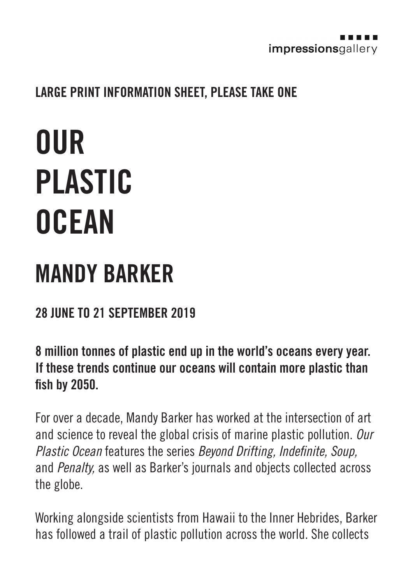

## LARGE PRINT INFORMATION SHEET, PLEASE TAKE ONE

## **OUR** PLASTIC **OCEAN**

## MANDY BARKER

## 28 JUNE TO 21 SEPTEMBER 2019

8 million tonnes of plastic end up in the world's oceans every year. If these trends continue our oceans will contain more plastic than fish by 2050.

For over a decade, Mandy Barker has worked at the intersection of art and science to reveal the global crisis of marine plastic pollution. *Our Plastic Ocean* features the series *Beyond Drifting, Indefinite, Soup,* and *Penalty,* as well as Barker's journals and objects collected across the globe.

Working alongside scientists from Hawaii to the Inner Hebrides, Barker has followed a trail of plastic pollution across the world. She collects